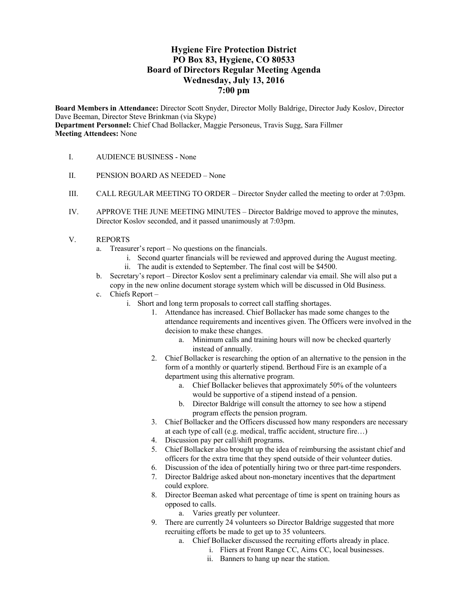# **Hygiene Fire Protection District PO Box 83, Hygiene, CO 80533 Board of Directors Regular Meeting Agenda Wednesday, July 13, 2016 7:00 pm**

**Board Members in Attendance:** Director Scott Snyder, Director Molly Baldrige, Director Judy Koslov, Director Dave Beeman, Director Steve Brinkman (via Skype) **Department Personnel:** Chief Chad Bollacker, Maggie Personeus, Travis Sugg, Sara Fillmer **Meeting Attendees:** None

- I. AUDIENCE BUSINESS None
- II. PENSION BOARD AS NEEDED None
- III. CALL REGULAR MEETING TO ORDER Director Snyder called the meeting to order at 7:03pm.
- IV. APPROVE THE JUNE MEETING MINUTES Director Baldrige moved to approve the minutes, Director Koslov seconded, and it passed unanimously at 7:03pm.
- V. REPORTS
	- a. Treasurer's report No questions on the financials.
		- i. Second quarter financials will be reviewed and approved during the August meeting. ii. The audit is extended to September. The final cost will be \$4500.
	- b. Secretary's report Director Koslov sent a preliminary calendar via email. She will also put a copy in the new online document storage system which will be discussed in Old Business.
	- c. Chiefs Report
		- i. Short and long term proposals to correct call staffing shortages.
			- 1. Attendance has increased. Chief Bollacker has made some changes to the attendance requirements and incentives given. The Officers were involved in the decision to make these changes.
				- a. Minimum calls and training hours will now be checked quarterly instead of annually.
			- 2. Chief Bollacker is researching the option of an alternative to the pension in the form of a monthly or quarterly stipend. Berthoud Fire is an example of a department using this alternative program.
				- a. Chief Bollacker believes that approximately 50% of the volunteers would be supportive of a stipend instead of a pension.
				- b. Director Baldrige will consult the attorney to see how a stipend program effects the pension program.
			- 3. Chief Bollacker and the Officers discussed how many responders are necessary at each type of call (e.g. medical, traffic accident, structure fire…)
			- 4. Discussion pay per call/shift programs.
			- 5. Chief Bollacker also brought up the idea of reimbursing the assistant chief and officers for the extra time that they spend outside of their volunteer duties.
			- 6. Discussion of the idea of potentially hiring two or three part-time responders.
			- 7. Director Baldrige asked about non-monetary incentives that the department could explore.
			- 8. Director Beeman asked what percentage of time is spent on training hours as opposed to calls.
				- a. Varies greatly per volunteer.
			- 9. There are currently 24 volunteers so Director Baldrige suggested that more recruiting efforts be made to get up to 35 volunteers.
				- a. Chief Bollacker discussed the recruiting efforts already in place.
					- i. Fliers at Front Range CC, Aims CC, local businesses.
						- ii. Banners to hang up near the station.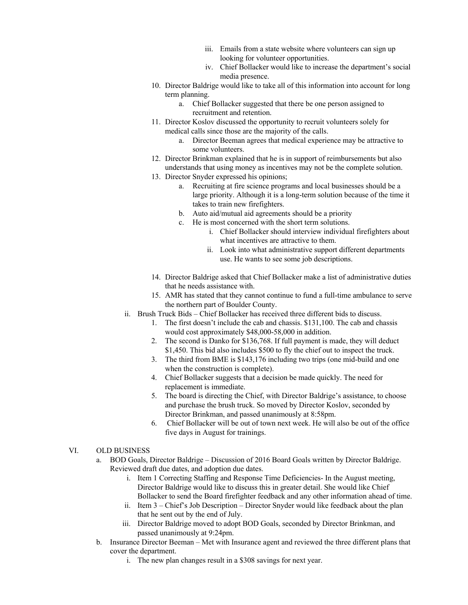- iii. Emails from a state website where volunteers can sign up looking for volunteer opportunities.
- iv. Chief Bollacker would like to increase the department's social media presence.
- 10. Director Baldrige would like to take all of this information into account for long term planning.
	- a. Chief Bollacker suggested that there be one person assigned to recruitment and retention.
- 11. Director Koslov discussed the opportunity to recruit volunteers solely for medical calls since those are the majority of the calls.
	- a. Director Beeman agrees that medical experience may be attractive to some volunteers.
- 12. Director Brinkman explained that he is in support of reimbursements but also understands that using money as incentives may not be the complete solution.
- 13. Director Snyder expressed his opinions;
	- a. Recruiting at fire science programs and local businesses should be a large priority. Although it is a long-term solution because of the time it takes to train new firefighters.
	- b. Auto aid/mutual aid agreements should be a priority
	- c. He is most concerned with the short term solutions.
		- i. Chief Bollacker should interview individual firefighters about what incentives are attractive to them.
		- ii. Look into what administrative support different departments use. He wants to see some job descriptions.
- 14. Director Baldrige asked that Chief Bollacker make a list of administrative duties that he needs assistance with.
- 15. AMR has stated that they cannot continue to fund a full-time ambulance to serve the northern part of Boulder County.
- ii. Brush Truck Bids Chief Bollacker has received three different bids to discuss.
	- 1. The first doesn't include the cab and chassis. \$131,100. The cab and chassis would cost approximately \$48,000-58,000 in addition.
	- 2. The second is Danko for \$136,768. If full payment is made, they will deduct \$1,450. This bid also includes \$500 to fly the chief out to inspect the truck.
	- 3. The third from BME is \$143,176 including two trips (one mid-build and one when the construction is complete).
	- 4. Chief Bollacker suggests that a decision be made quickly. The need for replacement is immediate.
	- 5. The board is directing the Chief, with Director Baldrige's assistance, to choose and purchase the brush truck. So moved by Director Koslov, seconded by Director Brinkman, and passed unanimously at 8:58pm.
	- 6. Chief Bollacker will be out of town next week. He will also be out of the office five days in August for trainings.

# VI. OLD BUSINESS

- a. BOD Goals, Director Baldrige Discussion of 2016 Board Goals written by Director Baldrige. Reviewed draft due dates, and adoption due dates.
	- i. Item 1 Correcting Staffing and Response Time Deficiencies- In the August meeting, Director Baldrige would like to discuss this in greater detail. She would like Chief Bollacker to send the Board firefighter feedback and any other information ahead of time.
	- ii. Item 3 Chief's Job Description Director Snyder would like feedback about the plan that he sent out by the end of July.
	- iii. Director Baldrige moved to adopt BOD Goals, seconded by Director Brinkman, and passed unanimously at 9:24pm.
- b. Insurance Director Beeman Met with Insurance agent and reviewed the three different plans that cover the department.
	- i. The new plan changes result in a \$308 savings for next year.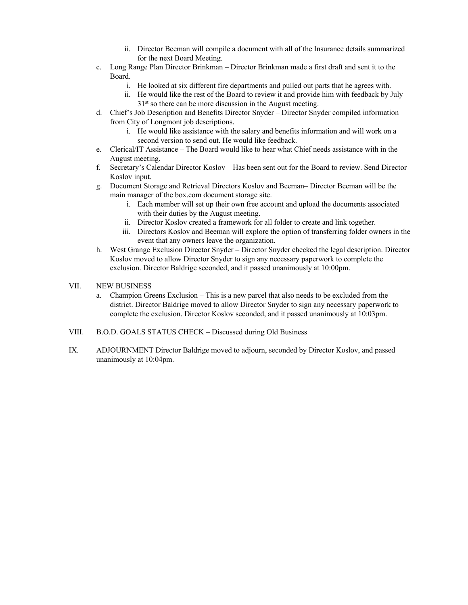- ii. Director Beeman will compile a document with all of the Insurance details summarized for the next Board Meeting.
- c. Long Range Plan Director Brinkman Director Brinkman made a first draft and sent it to the Board.
	- i. He looked at six different fire departments and pulled out parts that he agrees with.
	- ii. He would like the rest of the Board to review it and provide him with feedback by July  $31<sup>st</sup>$  so there can be more discussion in the August meeting.
- d. Chief's Job Description and Benefits Director Snyder Director Snyder compiled information from City of Longmont job descriptions.
	- i. He would like assistance with the salary and benefits information and will work on a second version to send out. He would like feedback.
- e. Clerical/IT Assistance The Board would like to hear what Chief needs assistance with in the August meeting.
- f. Secretary's Calendar Director Koslov Has been sent out for the Board to review. Send Director Koslov input.
- g. Document Storage and Retrieval Directors Koslov and Beeman– Director Beeman will be the main manager of the box.com document storage site.
	- i. Each member will set up their own free account and upload the documents associated with their duties by the August meeting.
	- ii. Director Koslov created a framework for all folder to create and link together.
	- iii. Directors Koslov and Beeman will explore the option of transferring folder owners in the event that any owners leave the organization.
- h. West Grange Exclusion Director Snyder Director Snyder checked the legal description. Director Koslov moved to allow Director Snyder to sign any necessary paperwork to complete the exclusion. Director Baldrige seconded, and it passed unanimously at 10:00pm.
- VII. NEW BUSINESS
	- a. Champion Greens Exclusion This is a new parcel that also needs to be excluded from the district. Director Baldrige moved to allow Director Snyder to sign any necessary paperwork to complete the exclusion. Director Koslov seconded, and it passed unanimously at 10:03pm.
- VIII. B.O.D. GOALS STATUS CHECK Discussed during Old Business
- IX. ADJOURNMENT Director Baldrige moved to adjourn, seconded by Director Koslov, and passed unanimously at 10:04pm.